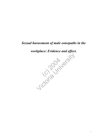# *Sexual harassment of male osteopaths in the*

*workplace: Evidence and effect.*

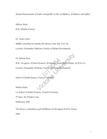*Sexual harassment of male osteopaths in the workplace: Evidence and effect.*

Melissa Stone

B.Sc. (Health Science)

Dr. Annie Carter

MBBS, Grad.Dip.Occ.Health, BA (Hons), Grad. Dip. Tert. Ed.

Lecturer, Osteopathic Medicine, Faculty of Human Development

Dr. Edwina Ryan

ence), B.Osteo Sc. Grace al Science), B.Osteo Sc, Grad.Dip.Ex.Rehab., &<br>edicine, Faculty of Human Development<br>e, Victoria University B.Sc., B.App.Sc. (Clinical Science), B.Osteo.Sc, Grad.Dip.Ex.Rehab., & M.A.O.A.

Lecturer, Osteopathic Medicine, Faculty of Human Development

School of Health Science, Victoria University

Melissa Stone

c/o School of Health Sciences, Victoria University

4<sup>th</sup> floor, 301 Flinders Lane

Melbourne, 8001

This thesis is submitted as part fulfillment for the degree M.H.Sc (Osteo)

2005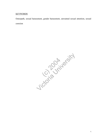### **KEYWORDS**

Osteopath, sexual harassment, gender harassment, unwanted sexual attention, sexual coercion

(c) 2012 Jicordan University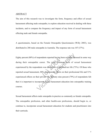#### ABSTRACT

The aim of this research was to investigate the form, frequency and effect of sexual harassment affecting male osteopaths; to explore education received in dealing with these incidents, and to compare the frequency and impact of any form of sexual harassment effecting male and female osteopaths.

A questionnaire, based on the Female Osteopaths Questionnaire (Willy 2003), was distributed to 288 male osteopaths in Australia. The response rate was 107 (37%).

Eighty percent (80%) of respondents reported naving ocen sexually harassed in some way<br>during their osteopathic career. The most common form of sexual harassment<br>experienced by the respondents was discussion of personal/se respondents reported having been sexually hara-<br>ic career. The most common form of seconds and the model of the common form of seconds was discussion of personal/sex life (73<br>ent, 80% experienced effects on their professi-Eighty percent (80%) of respondents reported having been sexually harassed in some way during their osteopathic career. The most common form of sexual harassment experienced by the respondents was discussion of personal/sex life (73%). Of those who reported sexual harassment, 80% experienced effects on their professional life and 51% that it is important to incorporate sexual harassment education into osteopathic training courses.

Sexual harassment affects male osteopaths in practice as commonly as female osteopaths. The osteopathic profession, and other health-care professions, should begin to, or continue to, incorporate sexual harassment education for students and practitioners into their curricula.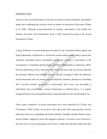#### INTRODUCTION

Interest in the sexual harassment of men has increased as both researchers, and popular media, have challenged the exclusive focus on females in discussion of this topic (Waldo et al. 1998). Although sexual harassment of females, particularly in the health care industry, has been well documented, there is little research focusing on the sexual harassment of males.

intimidated where the man Rights and Equa<br>
drawn between sexual<br>
erated, and flatly reject mission is 'unwelcome sexual conduct which m<br>
und/or intimidated where that reaction is r<br>
ian Human Rights and Equal Opportunities Co<br>
n be 'drawn between sexual advances that are<br>
put tolerated, and flatly rejected' (Lan A legal definition of sexual harassment accepted by the Australian Human Rights and Equal Opportunity Commission is 'unwelcome sexual conduct which makes a person feel offended, humiliated and/or intimidated where that reaction is reasonable in the circumstances' (Australian Human Rights and Equal Opportunities Commission 2002). Personal distinctions can be 'drawn between sexual advances that are invited, uninvited but welcome, offensive but tolerated, and flatly rejected' (Langslow 1996). By definition, sexual harassment does not include sexual interaction, flirtation, attraction or friendship that is invited, mutual, consensual or reciprocated, and it may vary according to individuals and circumstances. Sexual harassment, as defined above, is a legally recognised form of sex discrimination that is unlawful under the Sex Discrimination Act.

Three major categories of sexual harassment have been identified by O'Hare and O'Donohue (1998). *Gender harassment* is the least severe form and generally involves behaviours that convey degrading and hostile attitudes. Examples include offensive jokes, sexual remarks, suggestive looks and suggestive gestures. *Unwanted sexual attention* is the next level of sexual harassment and involves verbal and nonverbal behaviours that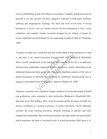create an intimidating, hostile and offensive environment. Examples include discussion of personal or sex life, pressure for dates, suggestive exposure of body parts, brushing, grabbing and inappropriate touching. The third and most severe form of sexual harassment is *sexual coercion*. Sexual coercion involves attempting to force sexual compliance and examples include, unwanted attempts for sex, bribery or threats for sexual cooperation and mistreatment for not cooperating sexually (O'Hare & O'Donohue 1998).

alassment (Eenginen-<br>of the responses from<br>mponent of *gender har*<br>ender role. Participant:<br>ng men for acting too Exame and the main which anti- in any process that and the main which and the main of persons and the set of the responses from men has given rised component of *gender harassment*, namely examele gender role. Participants A number of studies have found that men and women differ in their perceptions of what is, and what is not, sexual harassment (Lengnich-Hall 1995, Madison & Minichiello 2001). Careful consideration of the responses from men has given rise to an additional and previously unidentified component of *gender harassment,* namely enforcement of the traditional heterosexual male gender role. Participants identified examples of this form of gender harassment as ridiculing men for acting too femininely and pressuring men to engage in stereotypical forms of 'masculine' behavior (Waldo et al. 1998).

Numerous researchers have identified a higher incidence of sexual harassment in health care professions, when compared to other professions (Madison & Minichiello 2001, McComas et al. 1993, deMayo 1997). It has been proposed that the nature of health care practice contributes to a greater occurrence of sexual harassment. Factors identified included the close working proximity, frequent touching of patients and close interpersonal relationships that exist between patients and many health care practitioners, which predispose the latter to increased levels of sexual harassment (McComas et al.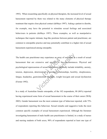1993). When researching specifically on physical therapists, the increased level of sexual harassment reported by them was related to the many elements of physical therapy treatment that require close physical contact (deMayo 1997). Asking a patient to disrobe, for example, may have the potential to stimulate sexual feelings and associated behaviours in patients (deMayo 1997). These examples, as well as manipulative techniques that require intimate, hug-like positions between patient and practitioner, are common to osteopathic practice and may potentially contribute to a higher risk of sexual harassment experienced among osteopaths.

The and specific to<br>the sexual harassment required to<br>ation of personal relation of personal relations. oner may experience an array of outcomes as<br>xtensive and specific to the circumstance<br>ions of sexual harassment reportedly include in<br>terioration of personal relationships, hostili<br>rointestinal disorders, weight loss/gain The health care practitioner may experience an array of outcomes as a result of sexual harassment that are extensive and specific to the circumstances. Physical and psychological repercussions of sexual harassment reportedly include irritability, anxiety, tension, depression, deterioration of personal relationships, hostility, sleeplessness, fatigue, headaches, gastrointestinal disorders, weight loss/gain and sexual dysfunction (Forster 1992).

In a study of Australian female osteopaths, of the 102 respondents, 88 (86%) reported having experienced some form of sexual harassment in the course of their career (Willy 2003). Gender harassment was the most common type of behaviour reported, with 75% of respondents reporting this behaviour. Sexual remarks and suggestive looks the most common specific examples of sexual harassment experienced. Although the literature investigating harassment of male health care practitioners is limited, in a study of nurses and nursing students of both sexes, 90% of respondents reported at least one type of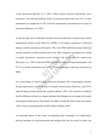sexual harassment (Bronner et al. 2003). While females reported significantly more experience with mild and moderate forms of sexual harassment than men, 35% of male participants (in comparison to 26% of female participants) experienced severe types of harassment (Bronner et al. 2003).

that IPSB affected bot<br>and 56.3% of male p unwanted sexual attention and sexual coerd<br>found that IPSB affected both male and female<br>ipants and 56.3% of male participants reporti<br>merica study of physical therapists, 86% of paraeast one type of sexually related patie A relevant study used a differently worded, more accessible form of questioning, namely inappropriate patient sexual behaviour (IPSB), to investigate experiences of physical therapy students and physical therapists. This term IPSB subdivided patient behaviour into the categories of mild, moderate and severe. These categories correspond very closely to gender harassment, unwanted sexual attention and sexual coercion, respectively. McComas et al. (1993) found that IPSB affected both male and female participants, with 83.1% of female participants and 56.3% of male participants reporting experiences of IPSB.

In a United States of America study of physical therapists, 86% of participants reported having experienced at least one type of sexually related patient behaviour, and 63.4% reported being sexually harassed by a patient (deMayo 1997). The researcher considered that the difference in these two figures indicates that therapists do not equate all sexually related patient behaviours as harassment, but rather consider the intrusiveness and context of the event in a psychologically flexible manner (deMayo 1997).

An important aspect of this study investigating male osteopaths is to differentiate between incidents of sexual harassment and incidents that may be sexual in nature, but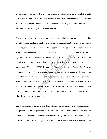are not regarded by the practitioner to be harassment. This distinction is essential to make to allow us to learn how practitioners define the difference and respond to such incidents. Such information can then be used in an educational setting to pass on knowledge and awareness to future and present male osteopaths.

Thatassment. For an ty<br>
other men were more<br>
tigated sexual harassm<br>
the subjects of sexual h Final States and Manual States and States and States and States and that other men were more likely to target<br>1998). Research conducted by the United States investigated sexual harassment in the federal<br>were the subjects o Previous research into male sexual harassment includes three contiguous studies investigating sexual harassment of men in various occupations, but none was in a health care industry. Overall analysis of this research identified that 2% reported having experienced sexual coercion, 11.5-29% reported unwanted sexual attention and 37-44.1% reported experiencing gender harassment. For all types of harassment, and in all three samples, men reported that other men were more likely to target them for sexual harassment (Waldo et al 1998). Research conducted by the United States Merit Systems Protection Board (1995) investigated sexual harassment in the federal workplace. It was found that when males were the subjects of sexual harassment, 65% of the perpetrators were female, 21% were male and 14% were identified both male and female. It is important to identify the gender of the person responsible for the sexual harassment as this may have implications for the type of harassment experienced and optimum educational responses to harassment.

Sexual harassment is detrimental to the health care practitioner-patient relationship and if the practitioner is not prepared for it, or assisted in learning how to deal with the situation, could lead to less than effective health care (White 2000). Information obtained from this current study will provide an indication of the extent of the behaviour, the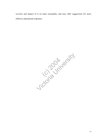severity and impact of it on male osteopaths, and may offer suggestions for more effective educational responses.

(c) 2012 Jicordan University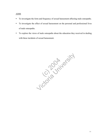### AIMS

- To investigate the form and frequency of sexual harassment affecting male osteopaths.
- To investigate the effect of sexual harassment on the personal and professional lives of male osteopaths.
- To explore the views of male osteopaths about the education they received in dealing with these incidents of sexual harassment.

(c) 2012 Jicordan University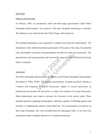### METHOD

#### Subjects and Procedure

In February 2005, an introductory letter and three-page questionnaire titled "Male Osteopaths Questionnaire" was mailed to 288 male osteopaths practicing in Australia. The addresses were obtained from the Yellow Pages online directory.

maire was based on the The potential participants were requested to complete and return the questionnaire. The introductory letter informed potential participants of the aims of the study, the potential risks and benefits associated with participation and that the study was anonymous. The questionnaire and research project had received the approval of the Victorian University Ethics Committee.

#### Instrument

The project had received the approval of the Victoria University<br>
University of the Victoria University<br>
University<br>
University<br>
University<br>
University<br>
University<br>
University<br>
University<br>
University<br>
University<br>
Universit The Male Osteopaths Questionnaire was based on the Female Osteopaths Questionnaire developed by Willy (2003). The original questionnaire included questions relating to evidence and frequency of sexual harassment, impact of sexual harassment on professional and private life and tactics to reduce the incidence of sexual harassment. Minor adjustments were made to increase the relevance to the current study. These included questions regarding demographics, education, gender of offending patients and incidents of inappropriate patient sexual behaviour. The questionnaire was piloted on three male osteopaths, who were excluded from the subsequent study. At no time were respondents asked to identify themselves, to maintain anonymity.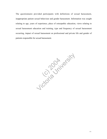The questionnaire provided participants with definitions of sexual harassment, inappropriate patient sexual behaviour and gender harassment. Information was sought relating to age, years of experience, place of osteopathic education, views relating to sexual harassment education and training, type and frequency of sexual harassment occurring, impact of sexual harassment on professional and private life and gender of patients responsible for sexual harassment.

(c) 2012 Jicordan University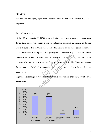### RESULTS

Two hundred and eighty-eight male osteopaths were mailed questionnaires, 107 (37%) responded.

### Type of Harassment

External Condition of Sexual Coercion, was experienced by 5% of respondents.<br>Twenty percent (20%) of respondents have never experienced any forms of sexual<br>harassment.<br>Figure 1: Percentage of respondents that have experien Solution Contrast Contrast Contrast Contrast Contrast Contrast (73%)<br>
Sment, Sexual Coercion, was experienced by 5<br>
of respondents have never experienced any<br>
f respondents that have experienced each contrast Contrast Cont Of the 107 respondents, 86 (80%) reported having been sexually harassed at some stage during their osteopathic career. Using the categories of sexual harassment as defined above, Figure 1 demonstrates that Gender Harassment is the most common form of sexual harassment affecting male osteopaths (75%). Unwanted Sexual Attention follows closely as the second most common form of sexual harassment (73%). The most severe category of sexual harassment, Sexual Coercion, was experienced by 5% of respondents. Twenty percent (20%) of respondents have never experienced any forms of sexual harassment.

**harassment.**

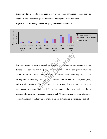There were fewer reports of the greater severity of sexual harassment, sexual coercion

(figure 2). The category of gender harassment was reported most frequently.

**Figure 2: The frequency of each category of sexual harassment.**



Sexual harassment ex<br>
e (73%), which is inc m of sexual harassment experienced by the<br>sex life (73%), which is included in the category<br>of gender harassment, and include offer<br>55%). The more severe forms of sexual l<br>nonly, with 2% of respondents having ex The most common form of sexual harassment experienced by the respondents was discussion of personal/sex life (73%), which is included in the category of unwanted sexual attention. Other common forms of sexual harassment experienced are encompassed in the category of gender harassment, and include offensive jokes (68%) and sexual remarks (65%). The more severe forms of sexual harassment were experienced less commonly, with 2% of respondents having experienced being mistreated for refusing to cooperate sexually and 4% having experienced threats for not cooperating sexually and unwanted attempts for sex that resulted in struggling (table 1).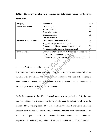### **Table 1: The occurrence of specific categories and behaviours associated with sexual**

**harassment.**

| <b>Category</b>                  | <b>Behaviour</b>                                      | $%$ of         |
|----------------------------------|-------------------------------------------------------|----------------|
| Gender Harassment                | Offensive jokes                                       |                |
|                                  | Sexual remarks                                        | 65             |
|                                  | Suggestive gestures                                   | 55             |
|                                  | Suggestive looks                                      | 51             |
|                                  | Sexist behaviour                                      | 33             |
| <b>Unwanted Sexual Attention</b> | Discussion of personal/sex life                       |                |
|                                  | Suggestive exposure of body parts                     | 52             |
|                                  | Brushing, grabbing or inappropriate touching          | 36             |
|                                  | Pressure for dates despite discouragement             | 34             |
| <b>Sexual Coercion</b>           | Unwanted attempts for sex that resulted in struggling | $\overline{4}$ |
|                                  | Threats for not cooperating sexually                  | 4              |
|                                  | Being mistreated for refusing to cooperate sexually   |                |

### Impact on Professional and Private Life

vate Life<br>questions regarding the<br>d private lives were a Threats for not cooperating sexually<br>Being mistreated for refusing to cooperate<br>and Private Life<br>ended questions regarding the impact of experience<br>and and private lives were analysed and class<br>es. The percentage of respon The responses to open-ended questions regarding the impact of experiences of sexual harassment on professional and private lives were analysed and classified according to commonly arising themes. The percentage of responses for each theme was calculated to allow comparison of the frequency of each theme.

Of the 84 responses to the effect of sexual harassment on professional life, the most common outcome was that respondents identified a need for reflection following the incident (24%). Twenty percent (20%) of respondents stated that their experiences had no effect on their professional life and 18% commented that that their experiences had an impact on their patients and future treatments. Other common outcomes were emotional responses to the incident (14%) and modification of future behaviours (12%) (Table 2).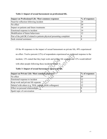### **Table 2: Impact of sexual harassment on professional life.**

| <b>Impact on Professional Life: Most common responses</b>               | % of responses |
|-------------------------------------------------------------------------|----------------|
| Need for reflection following incident                                  | 24             |
| No effect                                                               | 20             |
| Impact on patients and future treatments                                | 18             |
| Emotional response to incident                                          | 14             |
| Modification of future behaviours                                       | 12             |
| Part of the job/OK if related to patients physical presenting complaint | 8              |
| Seek external assistance                                                | 4              |

Of the 48 responses to the impact of sexual harassment on private life, 49% experienced no effect. Twelve percent (12%) of respondents experienced an emotional response to the

### **Table 3: Impact of sexual harassment on private life.**

| no effect. Twelve percent $(12\%)$ of respondents experienced an emotional response to the |                |
|--------------------------------------------------------------------------------------------|----------------|
| incident, 12% stated that they kept work and private life separate and 12% would debrief   |                |
| with other people following these incidents (Table 3).                                     |                |
| Table 3: Impact of sexual harassment on private life.                                      |                |
| <b>Impact on Private Life: Most common responses</b>                                       | % of responses |
| No effect                                                                                  | 49             |
| Emotional response to incident                                                             | 12             |
| Keep work and private life separate                                                        | 12             |
| Debrief with others (e.g. Wife, partner, work colleagues)                                  | 12             |
| Effect on personal relationships                                                           | 9              |
| Spark topic of conversation                                                                | 6              |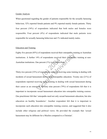### Gender Analysis

When questioned regarding the gender of patients responsible for the sexually harassing behaviour, 52% reported female patients and 9% reported mainly female patients. Thirty four percent (34%) of respondents indicated that both males and females were responsible. Four percent (4%) of respondents indicated that male patients were responsible for sexually harassing behaviour and 1% indicated mainly males.

### Education and Training

Eighty five percent (85%) of respondents received their osteopathic training at Australian institutions. A further 14% of respondents received their osteopathic training at non-Australian institutions. One percent (1%) was unspecified.

respondents received<br>
recent (1%) was unspect<br>
spondents reported rec<br>
t during their osteopath (4% of respondents received their osteopathic<br>Dne percent (1%) was unspecified.<br>(a) of respondents reported receiving some training<br>ssment during their osteopathic education. Two<br>ceiving some training in dealing with sexua Thirty-two percent (32%) of respondents reported receiving some training in dealing with incidents of sexual harassment during their osteopathic education. Twenty one (21%) of respondents reported receiving some training in dealing with sexual harassment during their career as an osteopath. Seventy nine percent (79%) of respondents felt that it is important to incorporate sexual harassment education into osteopathic training courses. One practitioner felt that 'osteopaths need not only sexual harassment education, but also education on healthy boundaries'. Another respondent felt that it is important to incorporate such education into osteopathic training courses, and suggested that it also include other religious and political views. He provided the example that 'sexual harassment may be different for a Muslim compared to a Christian'.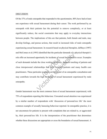#### DISCUSSION

lose working proximit<br>
ips that exist betweended and the examples are often particularly<br>
right incidence of sexual pportunity for incidents of sexual harassment to<br>pportunity for incidents of sexual harassment to<br>e the close working proximity, frequent touchi<br>ationships that exist between patients and r<br>icular examples are often part o Of the 37% of male osteopaths that responded to the questionnaire, 80% have had at least one experience with sexual harassment during their career. The work performed by an osteopath with their patients has the potential to remove completely, or at least significantly reduce, the social constraints that may apply to everyday interactions between people. The implications of this are that patients, both female and male, may develop feelings, and pursue actions, that result in increased risks of male osteopaths experiencing sexual harassment. In research based on physical therapists, deMayo (1997) and McComas et al (1993) identified that the particular demands of a physical therapist's role offer an increased opportunity for incidents of sexual harassment to occur. Examples of such demands include the close working proximity, frequent touching of patients and close interpersonal relationships that exist between patients and many health care practitioners. These particular examples are often part of an osteopathic consultation and may contribute towards the high incidence of sexual harassment experienced by male osteopaths.

Gender harassment was the most common form of sexual harassment experienced, with 75% of respondents reporting this behaviour. Unwanted sexual attention was experienced by a similar number of respondents with 'discussion of personal/sex life' the most common example of sexually harassing behaviour reported. In osteopathic practice, it is not uncommon for patients to present with complaints that are related to, or aggravated by, their personal/sex life. It is the interpretation of the practitioner that determines whether these discussions are appropriate or cross the boundaries of sexual harassment. A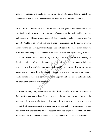number of respondents made side notes on the questionnaire that indicated that 'discussion of personal/sex life is unoffensive if related to the patients' condition'.

harassment. Althoug<br>iour, none made species<br>the impact of sexual has Softerwise neglected in studies that focus more values in the studies that focus more values and arrassment. Although 33% of responsible values of sexual harassment. From the visit behaviour is not a major area of concern An additional component of sexual harassment was incorporated into the current study, specifically sexist behaviour in the form of enforcement of the traditional heterosexual male gender role. This previously unidentified component of gender harassment was first noted by Waldo et al. (1998) and was defined to participants in the current study as 'sexist remarks or behaviour that are based on stereotypes of the sexes'. Sexist behaviour is an important component of sexual harassment of males and may identify a facet of sexual harassment that is otherwise neglected in studies that focus more exclusively on female recipients of sexual harassment. Although 33% of respondents indicated experiences with sexist behaviour, none made specific reference to this form of sexual harassment when describing the impact of sexual harassment. From this information, it can be postulated that sexist behaviour is not a major area of concern for male osteopaths but one worthy of future consideration.

In the current study, respondents were asked to detail the effect of sexual harassment on their professional and private lives, however, it is important to remember that the boundaries between professional and private life are not always clear and easily separated. Of those respondents who answered in the affirmative to experiences of sexual harassment whilst practising as an osteopath, 80% had experienced effects on their professional life as compared to 51% who had experienced effects on their private life.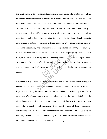$C_{.2}$ Intercuted and maintaining boundaries'.<br>
Hotel [in order] to decrease the incidence of m<br>
ty of defining and maintaining boundaries'.<br>
at he may have been 'inadvertently leading c<br>
at he may have been 'inadvertently leadin The most common effect of sexual harassment on professional life was that respondents described a need for reflection following the incident. These responses indicate that some male osteopaths have the need to contemplate and reassess their actions and communication skills following incidents of sexual harassment. The ability to acknowledge and identify incidents of sexual harassment is important to allow practitioners to alter their future behaviour to decrease the likelihood of such incidents. Some examples of typical responses included improvement of communication skills by rehearsing responses, and emphasising the importance of clarity of language. Respondents identified an 'increased awareness of [their] responsibility as an osteopath to be professional and ethical [in order] to decrease the incidence of misinterpretation of cues' and the 'necessity of defining and maintaining boundaries'. One respondent expressed awareness that he may have been 'inadvertently leading on or encouraging patients'.

A number of respondents identified constructive actions to modify their behaviour to decrease the occurrence of future incidents. These included increased use of towels to drape patients, asking the patient to remove as few clothes as possible, displays of family photos, use of an observer during treatment and ensuring that they are not left alone in the clinic. Personal experience is a major factor that contributes to the ability of male osteopaths to identify and implement these modifications of future behaviour. Nevertheless, education can assist inexperienced male osteopaths in recognising the possibility of such incidents and constructing effective measures to decrease and prevent the future likelihood of sexual harassment from occurring.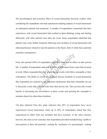The psychological and economic effect of sexual harassment becomes evident when considering the respondents who had experienced enduring impacts of sexual harassment on subsequent patients and treatments. A number of respondents commented that their experiences with sexual harassment had resulted in them thinking, acting and dealing differently with other patients seen after the event. Some respondents identified that patients may cease further treatment following such incidents of sexual harassment and other practitioners refused to treat the patients in the future, both of which have potential economic consequences.

espondents stated that<br>indicated an ability to c<br>t they would discuss even<br>itch off, or openly dis Valid of the stated that there was no effected<br>that indicated an ability to disconnect from every dent indicated an ability to disconnect from every<br>ed that they would discuss events with fellow of<br>the control of the state Forty nine percent (49%) of respondents stated that there was no effect on their private life. A number of respondents indicated an ability to disconnect from events that occurred at work. Others responded that they would discuss events with fellow osteopaths or their wife/partner. The ability to switch off, or openly discuss incidents of sexual harassment that respondents are exposed to, are important mechanisms that male osteopaths can use to dissociate events that occur at work from their private life. This can have the overall benefit of decreasing the stressfulness of these events and assisting the osteopath to maintain objectivity about these incidents.

The data obtained from this study indicates that 20% of respondents have never experienced sexual harassment while up to 49% of respondents stated that they experienced no effect from any incidents that have occurred. At the other extreme, however, the more severe outcomes that respondents provided included being 'unable to treat patients to their full potential', seeking the 'assistance of a psychologist', seeking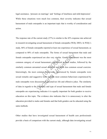legal assistance, 'pressure on marriage' and 'feelings of loneliness and mild depression'. While these situations were much less common, their severity indicates that sexual harassment of male osteopaths is an important topic that is worthy of consideration and action.

are also very similar<br>
narassment experience<br>
sexual attention and m<br>
non behaviours exper<br>
e looks and the most of The case of similar. Gender harassm<br>reinced are also very similar. Gender harassm<br>exual harassment experienced in both studies<br>anted sexual attention and much less commor<br>common behaviours experienced by female<br>gestive loo The response rate of the current study (37%) is similar to the 42% response rate achieved in research investigating sexual harassment of female osteopaths (Willy 2003). In Willy's study, 86% of female osteopaths reported at least one experience of sexual harassment, as compared to 80% of male osteopaths. The forms of sexual harassment that male and female osteopaths experienced are also very similar. Gender harassment was the most common category of sexual harassment experienced in both studies, followed by the similarly common unwanted sexual attention and much less common sexual coercion. Interestingly, the most common behaviours experienced by female osteopaths were sexual remarks and suggestive looks and the most common behaviours experienced by male osteopaths were discussion of personal/sex life and offensive jokes. The similarity of data in regards to the frequency and type of sexual harassment that male and female osteopaths are experiencing indicates it is equally important for both genders to receive education on this topic. The evidence also indicates that it is unnecessary to alter the education provided to males and females and that both genders can be educated using the same methods.

Other studies that have investigated sexual harassment of health care professionals provide a basis of comparison with the current study, although data investigating sexual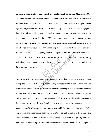$v_{\zeta}$ Solution that the sexual harassment, particularly males when<br>the sexual harassment, particularly males when<br>the sexual harassment (34%) of the sexual harassment from both male and female patients. References harassment specifically of male health care professionals is lacking. McComas (1993) found that inappropriate patient sexual behaviour (IPSB) affected both male and female physical therapists, with 83.1% of female participants and 56.3% of male participants reporting experiences with IPSB. In a different study, 86% of male and female physical therapists and physical therapy students had experienced at least one type of sexually related patient behaviour (deMayo 1997). In the latter study, the relationship between personal characteristics (age, gender, etc) and experiences of sexual harassment were investigated. It was found that harassment experiences were not limited to a particular group of therapists, such as young women, and gender was not a powerful predictor of sexual harassment. These statistics further reinforce the importance of incorporating males into research regarding sexual harassment, particularly males who are employed in the health care profession.

Female patients were most commonly responsible for the sexual harassment of male osteopaths (52%). Thirty four percent (34%) of respondents indicated that they had experienced sexual harassment from both male and female patients. Research performed in other workplace environments has found similar results. Research conducted by the United States Merit Systems Protection Board (1995) investigated sexual harassment in the federal workplace. It was found that when males were the subjects of sexual harassment, 65% of the perpetrators were female and 21% were male. Fourteen (14%) of respondents had experienced separate incidents of sexual harassment from male and female patients. In a number of workplace environments, Waldo et al. (1998) found that men were the more likely harassers in the sexual harassment of other men. It is important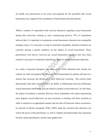for health care practitioners to be aware and prepared for the possibility that sexual harassment may originate from consultation of both female and male patients.

Whilst a number of respondents had received education regarding sexual harassment during their university training or since commencing practice, 79% of respondents believed that it is important to incorporate sexual harassment education into osteopathic training courses. It is necessary to keep in mind that osteopathic education institutes are currently placing a greater emphasis on the subject of sexual harassment. Those practitioners who haven't received any sexual harassment education may have been trained in years prior to institutions identifying a need for sexual harassment education.

ions identifying a need<br>ists, McComas et al.<br>for the possibility of h The internal of the possibility of harassment education<br>
institutions identifying a need for sexual harassment<br>
therapists, McComas et al. (1993) identified<br>
epared for the possibility of harassment by pati<br>
he likelihood In a study of physical therapists, McComas et al. (1993) identified that 'health care workers are often not prepared for the possibility of harassment by patients and react in a manner that increases the likelihood of such behaviour recurring'. This current study demonstrates that male osteopaths have the ability to differentiate between problematic sexual harassment behaviours and non-offensive patient sexual behaviour. For the latter, the impact of incidents is minimal. However, those respondents who report experiencing more flagrant sexual behaviours do need assistance in dealing with these incidents in order to respond in an appropriate manner and one that will decrease future occurrences. In research of female osteopaths, Willy (2003) made the comment that education can restore the power of the practitioner, as well as validate and depersonalise the experience for these future practitioners, and the same applies here.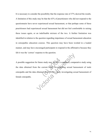It is necessary to consider the possibility that the response rate of 37% skewed the results. A limitation of this study may be that the 63% of practitioners who did not respond to the questionnaire have never experienced sexual harassment, or that perhaps some of these practitioners had experienced sexual harassment but did not feel comfortable in raising these issues again, or an indefinable mixture of the two. A further limitation was identified in relation to the question regarding importance of sexual harassment education in osteopathic education courses. This question may have been worded in a loaded manner, and may have encouraged participants to respond in the affirmative because they felt it was the 'correct' response to the question.

re study may involve a<br>current study investig<br>ed from Willy's study of the study may involve a combined, compared that the current study investigating sexual har obtained from Willy's study investigating sexual hard A possible suggestion for future study may involve a combined, comparative study using the data obtained from the current study investigating sexual harassment of male osteopaths and the data obtained from Willy's study investigating sexual harassment of female osteopaths.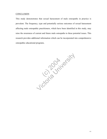### **CONCLUSION**

This study demonstrates that sexual harassment of male osteopaths in practice is prevalent. The frequency, type and potentially serious outcomes of sexual harassment affecting male osteopathic practitioners, which have been identified in this study, may raise the awareness of current and future male osteopaths to these potential issues. This research provides additional information which can be incorporated into comprehensive osteopathic educational programs.

(c) 2012 Jicordan University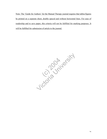Note: The 'Guide for Authors' for the Manual Therapy journal requires that tables/figures be printed on a separate sheet, double spaced and without horizontal lines. For ease of readership and to save paper, this criteria will not be fulfilled for marking purposes. It will be fulfilled for submission of article to the journal.

(c) 2012 Jicordan University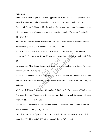References

Australian Human Rights and Equal Opportunities Commission, 13 September 2002, viewed 24 May 2005, <http://www.hreoc.gov.au/sex\_discrimination/index.html>

Bronner G, Peretz C, Ehrenfeld M. Experience before and throughout the nursing career

– Sexual harassment of nurses and nursing students. Journal of Advanced Nursing 2003;

42(6): 637-647

deMayo RA. Patient sexual behaviours and sexual harassment: a national survey of physical therapists. Physical Therapy 1997; 77(7): 739-69

Forster P. Sexual Harassment at Work. British Medical Journal 1992; 305: 944-46

Langslow A. Dealing with Sexual Harassment. Australian Nursing Journal 1996; 3(7): 32-34

Arassment research: Lengnich-Hall ML. Sexual harassment research: a methodological critique. Personnel Psychology1995; 305 (4): 48

Transment Rustralian Nursing Journal<br>
1991 - Assembly Contains and Transment Testarch: a methodological c<br>
1991 - V. Sexual Harassment in Healthcare: Classific:<br>
Sex-based Harassment Behaviour. J Nurs Additional<br>
Glacomin Madison J, Minichiello V. Sexual Harassment in Healthcare: Classification of Harassers and Rationalisations of Sex-based Harassment Behaviour. J Nurs Adm 2001; 31(11): 534-543

McComas J, Hebert C, Glacomin C, Kaplan D, Dulberg C. Experiences of Student and Practicing Physical Therapists with Inappropriate Patient Sexual Behaviour. Physical Therapy 1993; 73(11): 762-769

O'Hare EA, O'Donohue W. Sexual Harassment: Identifying Risk Factors. Archives of Sexual Behaviour 1998; 27(6): 561-79

United States Merit Systems Protection Board. Sexual harassment in the federal workplace. Washington DC, U.S. Government Printing Office 1995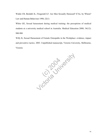Waldo CR, Berdahl JL, Fitzgerald LF. Are Men Sexually Harassed? If So, by Whom? Law and Human Behaviour 1998; 22(1)

White GE, Sexual harassment during medical training: the perceptions of medical students at a university medical school in Australia. Medical Education 2000; 34(12): 980-988

Willy K, Sexual Harassment of Female Osteopaths in the Workplace: evidence, impact and preventive tactics. 2003. Unpublished manuscript, Victoria University, Melbourne, Victoria

(c) 2012 Jicordan University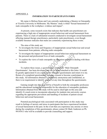#### APPENDIX A

### **INFORMATION TO PARTICIPANTS FORM**

My name is Melissa Stone and I am currently undertaking a Masters in Osteopathy at Victoria University in Melbourne. My Masters' study is titled "Sexual harassment of male osteopaths in the workplace: evidence and impact".

At present, some research exists that indicates that health care practitioners are experiencing a high rate of inappropriate sexual behaviour and sexual harassment from patients. There is a lack of substantial research conducted to investigate sexual harassment affecting manual therapy practitioners, particularly male practitioners, even though available literature indicates that males are commonly experiencing these events.

The aims of this study are:

- To investigate the forms and frequency of inappropriate sexual behaviour and sexual harassment from patients, affecting male osteopaths
- To investigate the impact of inappropriate sexual behaviour and sexual harassment on the personal and professional lives of male osteopaths.
- incidents.

• To explore the views of male osteopaths on education received in dealing with these<br>incidents.<br>To explore these issues, a questionnaire entitled the 'Male Osteopath<br>Questionnaire', has been developed and can be found att metal internal sexual behaviour and sex-<br>fessional lives of male osteopaths.<br>Fessional lives of male osteopaths.<br>Such that is detected in definition of the Steep developed and can be found attached to this le-<br>you could an To explore these issues, a questionnaire entitled the 'Male Osteopath Questionnaire', has been developed and can be found attached to this letter. It would be greatly appreciated if you could answer this brief questionnaire and return it to me. Return of a completed questionnaire indicates consent to become a participant in this study. All information obtained is completely anonymous and confidential, as there is no requirement to identify yourself at any time throughout the questionnaire.

Gaining insight into this area will be of benefit to both the osteopathic profession and the educational institutions responsible for the education of osteopathic graduates. Information obtained from this study will be used to shed light on this area and identify if a need exists to incorporate education for students into university courses regarding the appropriate prevention and handling of incidents of patient sexual behaviour and sexual harassment.

Potential psychological risks associated with participation in this study may result in feelings of anxiety and stress in participants that have experienced incidents of sexual harassment in the past. In the event that you experience any anxiety or stress during the completion of this questionnaire, please contact Dr Mark Andersen on Ph. 99195413 who will be available to provide counselling and support.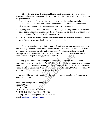The following terms define sexual harassment, inappropriate patient sexual behaviour and gender harassment. Please keep these definitions in mind when answering the questionnaire.

- Sexual harassment: To constitute sexual harassment, the conduct has to be unwelcome. Conduct becomes unwelcome when it is not invited or solicited and when the person regards the conduct as undesirable or offensive.
- Inappropriate sexual behaviour: Behaviour on the part of the patient that, whilst not being deemed sexually harassing by the practitioner, can be classified as sexual. May include requests for dates, sexual comments, etc.
- Gender harassment: Sexist remarks or behaviour that are based on stereotypes of the sexes. Biased behaviour that intends to demean a gender.

Your participation is vital to this study. Even if you have never experienced any incidents of patient sexual behaviour or sexual harassment, your answers will assist in providing the most accurate information available. A self-addressed and stamped envelope has been included to assist in speedy return of the completed questionnaire. Thank-you in anticipation for your time and effort.

participation in this pro<br>ne: Ph. 92481111). If<br>reated, you may contac<br>ictoria University of To<br>0: 03-9688 4710). France Control and Service Technology Person<br>
your participation in this project may be directed<br>
sa Stone: Ph. 92481111) If you have any quer<br>
been treated, you may contact the Secretary, Un<br>
ttee, Victoria University of Any queries about your participation in this project may be directed to the researcher (Name: Melissa Stone: Ph. 92481111). If you have any queries or complaints about the way you have been treated, you may contact the Secretary, University Human Research Ethics Committee, Victoria University of Technology, PO Box 14428 MCMC, Melbourne, 8001 (telephone no: 03-9688 4710).

If you would like more information on the anti-discrimination policy and procedures, please contact the:

*Australian Osteopathic Association* **Federal Office** PO Box 5044 CHATSWOOD WEST NSW 1515 Ph: 1800 4 OSTEO Fax: 61 2 9410 1699 If calling from overseas phone 61 2 9410 0099 Email: **aoa@osteopathic.com.au**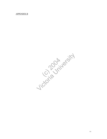### APPENDIX B

(c) 2012 Jicordan University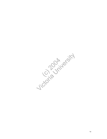(c) 2012 Jicordan University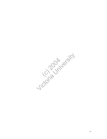(c) 2012 Jicordan University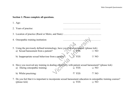# **Section 1: Please complete all questions.**

| 1. Age:                                                                                                                                                                                                                                                               |            |              |
|-----------------------------------------------------------------------------------------------------------------------------------------------------------------------------------------------------------------------------------------------------------------------|------------|--------------|
| 2. Years of practise:                                                                                                                                                                                                                                                 |            |              |
|                                                                                                                                                                                                                                                                       |            |              |
| 4. Osteopathic training institution:                                                                                                                                                                                                                                  |            |              |
| 5. Using the previously defined terminology, have you ever experienced: (please tick)                                                                                                                                                                                 |            |              |
| a) Sexual harassment from a patient?                                                                                                                                                                                                                                  | YES        | $\Box$ NO    |
| b) Inappropriate sexual behaviour from a patient?                                                                                                                                                                                                                     | <b>YES</b> | $\square$ NO |
| 6. Have you received any training in dealing effectively with patient sexual harassment? (please tick)                                                                                                                                                                |            |              |
| a) During osteopathic training:                                                                                                                                                                                                                                       | $\Box$ YES | $\Box$ NO    |
| b) Whilst practising:                                                                                                                                                                                                                                                 | <b>YES</b> | $\Box$ NO    |
| $\mathcal{C}$ and $\mathcal{C}$<br>the contract of the contract of the contract of the contract of the contract of the contract of the contract of<br>the contract of the contract of the contract of the contract of the contract of the contract of the contract of |            |              |

7. Do you feel that it is important to incorporate sexual harassment education in osteopathic training courses? (please tick)  $\Box$  YES  $\Box$  NO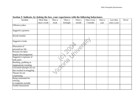| Incident                    | More than   | Once a | Once a    | Once a | Once every | Once a | Less than   | Never |
|-----------------------------|-------------|--------|-----------|--------|------------|--------|-------------|-------|
|                             | once a week | week   | fortnight | month  | 3 months   | year   | once a year |       |
| Offensive jokes             |             |        |           |        |            |        |             |       |
| Suggestive gestures         |             |        |           |        |            |        |             |       |
| Sexual remarks              |             |        |           |        |            |        |             |       |
| Suggestive looks            |             |        |           |        |            |        |             |       |
| Discussion of               |             |        |           |        |            |        |             |       |
| personal/sex life           |             |        |           |        |            |        |             |       |
| Pressure for dates          |             |        |           |        |            |        |             |       |
| despite discouragement      |             |        |           |        |            |        |             |       |
| Suggestive exposure of      |             |        |           |        |            |        |             |       |
| body parts                  |             |        |           |        |            |        |             |       |
| Brushing, grabbing or       |             |        |           |        |            |        |             |       |
| inappropriate touching      |             |        |           |        |            |        |             |       |
| Unwanted attempts for sex   |             |        |           |        |            |        |             |       |
| that resulted in struggling |             |        |           |        |            |        |             |       |
| Threats for not             |             |        |           |        |            |        |             |       |
| cooperating                 |             |        |           |        |            |        |             |       |
| Being mistreated for        |             |        |           |        |            |        |             |       |
| refusing                    |             |        |           |        |            |        |             |       |
| to cooperate sexually       |             |        |           |        |            |        |             |       |
| Gender harassment           |             |        |           |        |            |        |             |       |
|                             |             |        |           |        |            |        |             |       |

# **Section 2: Indicate, by ticking the box, your experiences with the following behaviours.**